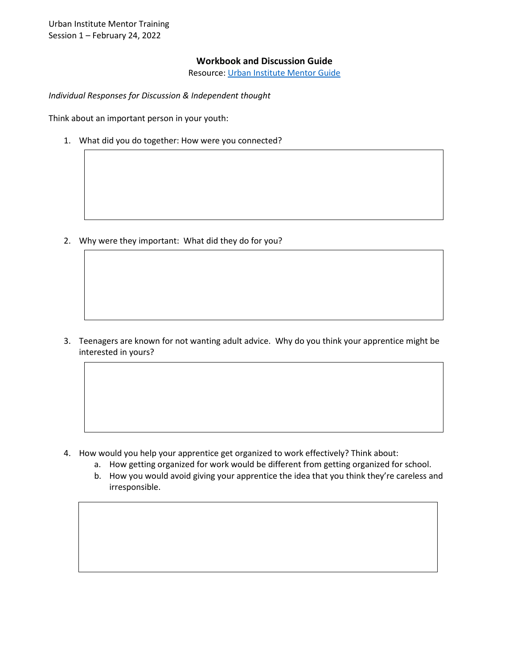Urban Institute Mentor Training Session 1 – February 24, 2022

## **Workbook and Discussion Guide**

Resource: [Urban Institute Mentor Guide](https://www.urban.org/research/publication/mentor-guide-youth-registered-apprenticeship-programs)

*Individual Responses for Discussion & Independent thought* 

Think about an important person in your youth:

1. What did you do together: How were you connected?

2. Why were they important: What did they do for you?

3. Teenagers are known for not wanting adult advice. Why do you think your apprentice might be interested in yours?

- 4. How would you help your apprentice get organized to work effectively? Think about:
	- a. How getting organized for work would be different from getting organized for school.
	- b. How you would avoid giving your apprentice the idea that you think they're careless and irresponsible.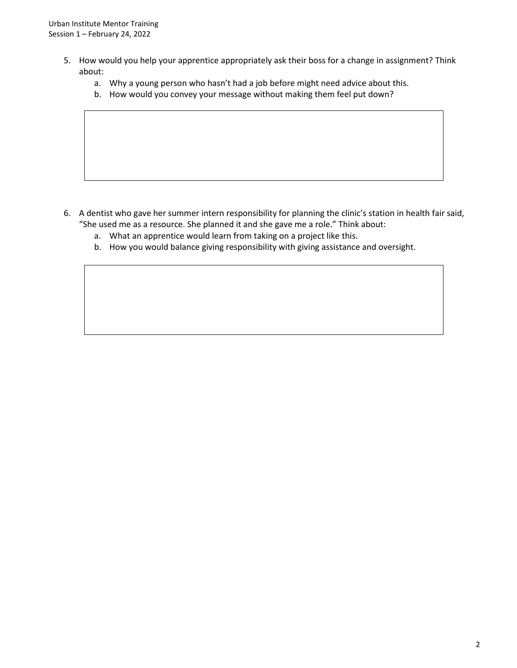- 5. How would you help your apprentice appropriately ask their boss for a change in assignment? Think about:
	- a. Why a young person who hasn't had a job before might need advice about this.
	- b. How would you convey your message without making them feel put down?

- 6. A dentist who gave her summer intern responsibility for planning the clinic's station in health fair said, "She used me as a resource. She planned it and she gave me a role." Think about:
	- a. What an apprentice would learn from taking on a project like this.
	- b. How you would balance giving responsibility with giving assistance and oversight.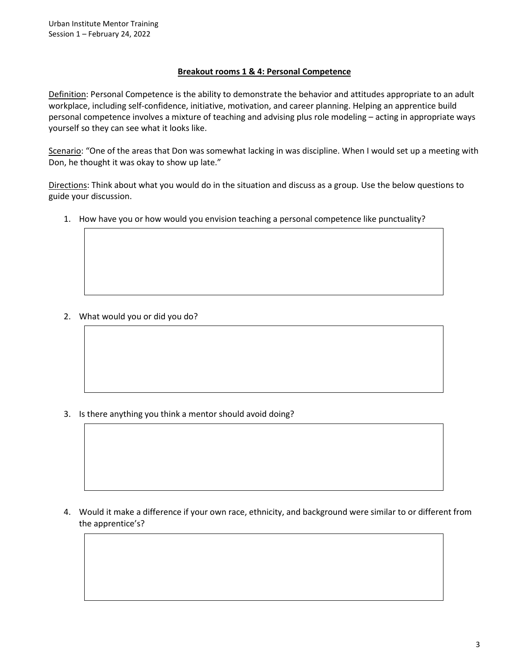## **Breakout rooms 1 & 4: Personal Competence**

Definition: Personal Competence is the ability to demonstrate the behavior and attitudes appropriate to an adult workplace, including self-confidence, initiative, motivation, and career planning. Helping an apprentice build personal competence involves a mixture of teaching and advising plus role modeling – acting in appropriate ways yourself so they can see what it looks like.

Scenario: "One of the areas that Don was somewhat lacking in was discipline. When I would set up a meeting with Don, he thought it was okay to show up late."

Directions: Think about what you would do in the situation and discuss as a group. Use the below questions to guide your discussion.

1. How have you or how would you envision teaching a personal competence like punctuality?

2. What would you or did you do?

3. Is there anything you think a mentor should avoid doing?

4. Would it make a difference if your own race, ethnicity, and background were similar to or different from the apprentice's?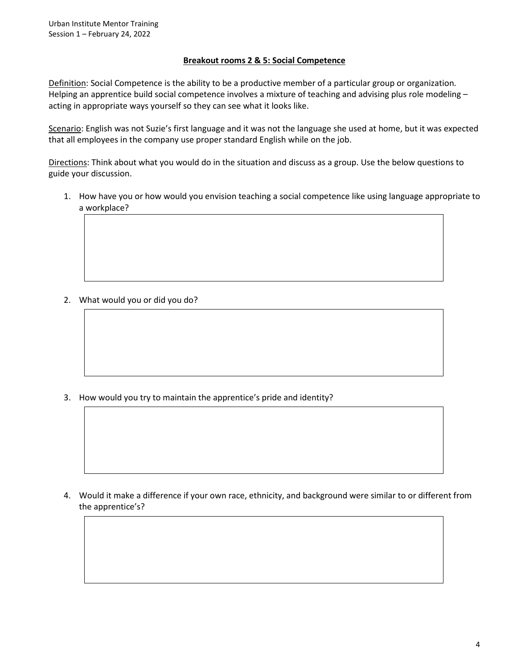## **Breakout rooms 2 & 5: Social Competence**

Definition: Social Competence is the ability to be a productive member of a particular group or organization. Helping an apprentice build social competence involves a mixture of teaching and advising plus role modeling – acting in appropriate ways yourself so they can see what it looks like.

Scenario: English was not Suzie's first language and it was not the language she used at home, but it was expected that all employees in the company use proper standard English while on the job.

Directions: Think about what you would do in the situation and discuss as a group. Use the below questions to guide your discussion.

1. How have you or how would you envision teaching a social competence like using language appropriate to a workplace?

2. What would you or did you do?

3. How would you try to maintain the apprentice's pride and identity?

4. Would it make a difference if your own race, ethnicity, and background were similar to or different from the apprentice's?